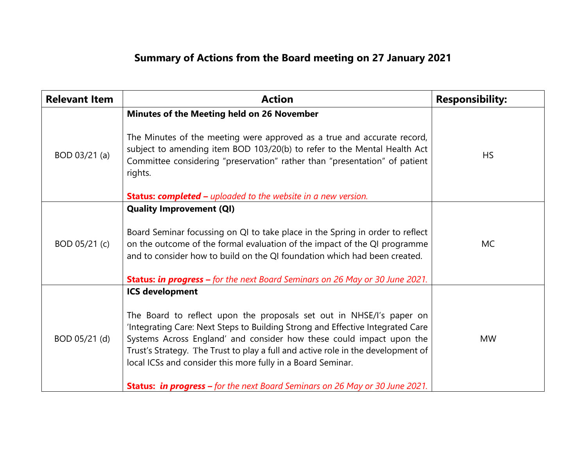## **Summary of Actions from the Board meeting on 27 January 2021**

| <b>Relevant Item</b> | <b>Action</b>                                                                                                                                                                                                                                                                                                                                                                                                                                                                                      | <b>Responsibility:</b> |
|----------------------|----------------------------------------------------------------------------------------------------------------------------------------------------------------------------------------------------------------------------------------------------------------------------------------------------------------------------------------------------------------------------------------------------------------------------------------------------------------------------------------------------|------------------------|
| BOD 03/21 (a)        | Minutes of the Meeting held on 26 November<br>The Minutes of the meeting were approved as a true and accurate record,<br>subject to amending item BOD 103/20(b) to refer to the Mental Health Act<br>Committee considering "preservation" rather than "presentation" of patient<br>rights.<br><b>Status: completed -</b> uploaded to the website in a new version.                                                                                                                                 | <b>HS</b>              |
| BOD 05/21 (c)        | <b>Quality Improvement (QI)</b><br>Board Seminar focussing on QI to take place in the Spring in order to reflect<br>on the outcome of the formal evaluation of the impact of the QI programme<br>and to consider how to build on the QI foundation which had been created.<br><b>Status: in progress -</b> for the next Board Seminars on 26 May or 30 June 2021.                                                                                                                                  | <b>MC</b>              |
| BOD 05/21 (d)        | <b>ICS development</b><br>The Board to reflect upon the proposals set out in NHSE/I's paper on<br>'Integrating Care: Next Steps to Building Strong and Effective Integrated Care<br>Systems Across England' and consider how these could impact upon the<br>Trust's Strategy. The Trust to play a full and active role in the development of<br>local ICSs and consider this more fully in a Board Seminar.<br><b>Status: in progress –</b> for the next Board Seminars on 26 May or 30 June 2021. | <b>MW</b>              |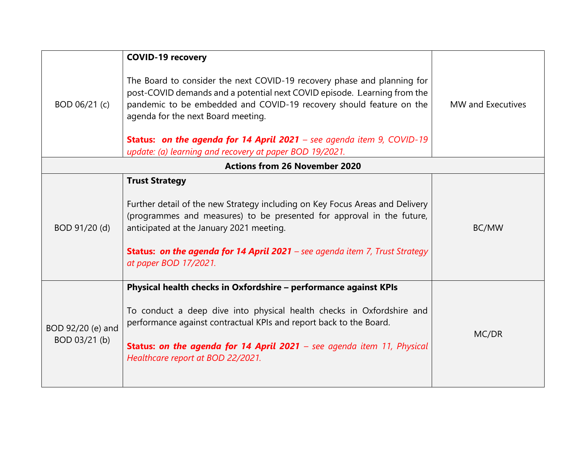| BOD 06/21 (c)                        | <b>COVID-19 recovery</b><br>The Board to consider the next COVID-19 recovery phase and planning for<br>post-COVID demands and a potential next COVID episode. Learning from the<br>pandemic to be embedded and COVID-19 recovery should feature on the<br>agenda for the next Board meeting.<br><b>Status: on the agenda for 14 April 2021</b> – see agenda item 9, COVID-19 | MW and Executives |  |  |
|--------------------------------------|------------------------------------------------------------------------------------------------------------------------------------------------------------------------------------------------------------------------------------------------------------------------------------------------------------------------------------------------------------------------------|-------------------|--|--|
|                                      | update: (a) learning and recovery at paper BOD 19/2021.                                                                                                                                                                                                                                                                                                                      |                   |  |  |
| <b>Actions from 26 November 2020</b> |                                                                                                                                                                                                                                                                                                                                                                              |                   |  |  |
| BOD 91/20 (d)                        | <b>Trust Strategy</b><br>Further detail of the new Strategy including on Key Focus Areas and Delivery<br>(programmes and measures) to be presented for approval in the future,<br>anticipated at the January 2021 meeting.<br><b>Status: on the agenda for 14 April 2021</b> – see agenda item 7, Trust Strategy<br>at paper BOD 17/2021.                                    | BC/MW             |  |  |
| BOD 92/20 (e) and<br>BOD 03/21 (b)   | Physical health checks in Oxfordshire - performance against KPIs<br>To conduct a deep dive into physical health checks in Oxfordshire and<br>performance against contractual KPIs and report back to the Board.<br><b>Status: on the agenda for 14 April 2021</b> – see agenda item 11, Physical<br>Healthcare report at BOD 22/2021.                                        | MC/DR             |  |  |